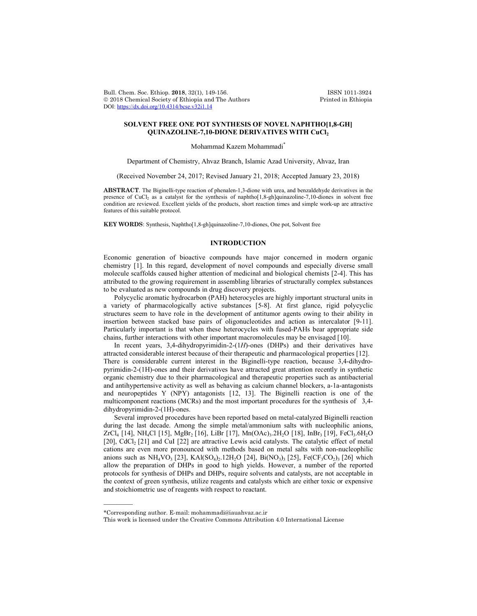Bull. Chem. Soc. Ethiop. 2018, 32(1), 149-156. ISSN 1011-3924<br>
© 2018 Chemical Society of Ethiopia and The Authors Printed in Ethiopia  $© 2018$  Chemical Society of Ethiopia and The Authors DOI: https://dx.doi.org/10.4314/bcse.v32i1.14

## **SOLVENT FREE ONE POT SYNTHESIS OF NOVEL NAPHTHO[1,8-GH] QUINAZOLINE-7,10-DIONE DERIVATIVES WITH CuCl2**

Mohammad Kazem Mohammadi\*

Department of Chemistry, Ahvaz Branch, Islamic Azad University, Ahvaz, Iran

(Received November 24, 2017; Revised January 21, 2018; Accepted January 23, 2018)

**ABSTRACT**. The Biginelli-type reaction of phenalen-1,3-dione with urea, and benzaldehyde derivatives in the presence of CuCl<sub>2</sub> as a catalyst for the synthesis of naphtho[1,8-gh]quinazoline-7,10-diones in solvent free condition are reviewed. Excellent yields of the products, short reaction times and simple work-up are attractive features of this suitable protocol.

**KEY WORDS**: Synthesis, Naphtho[1,8-gh]quinazoline-7,10-diones, One pot, Solvent free

# **INTRODUCTION**

Economic generation of bioactive compounds have major concerned in modern organic chemistry [1]. In this regard, development of novel compounds and especially diverse small molecule scaffolds caused higher attention of medicinal and biological chemists [2-4]. This has attributed to the growing requirement in assembling libraries of structurally complex substances to be evaluated as new compounds in drug discovery projects.

Polycyclic aromatic hydrocarbon (PAH) heterocycles are highly important structural units in a variety of pharmacologically active substances [5-8]. At first glance, rigid polycyclic structures seem to have role in the development of antitumor agents owing to their ability in insertion between stacked base pairs of oligonucleotides and action as intercalator [9-11]. Particularly important is that when these heterocycles with fused-PAHs bear appropriate side chains, further interactions with other important macromolecules may be envisaged [10].

In recent years, 3,4-dihydropyrimidin-2-(1*H*)-ones (DHPs) and their derivatives have attracted considerable interest because of their therapeutic and pharmacological properties [12]. There is considerable current interest in the Biginelli-type reaction, because 3,4-dihydropyrimidin-2-(1H)-ones and their derivatives have attracted great attention recently in synthetic organic chemistry due to their pharmacological and therapeutic properties such as antibacterial and antihypertensive activity as well as behaving as calcium channel blockers, a-1a-antagonists and neuropeptides Y (NPY) antagonists [12, 13]. The Biginelli reaction is one of the multicomponent reactions (MCRs) and the most important procedures for the synthesis of 3,4 dihydropyrimidin-2-(1H)-ones.

Several improved procedures have been reported based on metal-catalyzed Biginelli reaction during the last decade. Among the simple metal/ammonium salts with nucleophilic anions,  $ZrCl_4$  [14], NH<sub>4</sub>Cl [15], MgBr<sub>2</sub> [16], LiBr [17], Mn(OAc)<sub>3</sub>.2H<sub>2</sub>O [18], InBr<sub>3</sub> [19], FeCl<sub>3</sub>.6H<sub>2</sub>O [20], CdCl<sub>2</sub> [21] and CuI [22] are attractive Lewis acid catalysts. The catalytic effect of metal cations are even more pronounced with methods based on metal salts with non-nucleophilic anions such as  $NH_4VO_3$  [23], KAl( $SO_4$ )<sub>2</sub>.12H<sub>2</sub>O [24], Bi( $NO_3$ )<sub>3</sub> [25], Fe( $CF_3CO_2$ )<sub>3</sub> [26] which allow the preparation of DHPs in good to high yields. However, a number of the reported protocols for synthesis of DHPs and DHPs, require solvents and catalysts, are not acceptable in the context of green synthesis, utilize reagents and catalysts which are either toxic or expensive and stoichiometric use of reagents with respect to reactant.

 $\overline{\phantom{a}}$ 

<sup>\*</sup>Corresponding author. E-mail: mohammadi@iauahvaz.ac.ir

This work is licensed under the Creative Commons Attribution 4.0 International License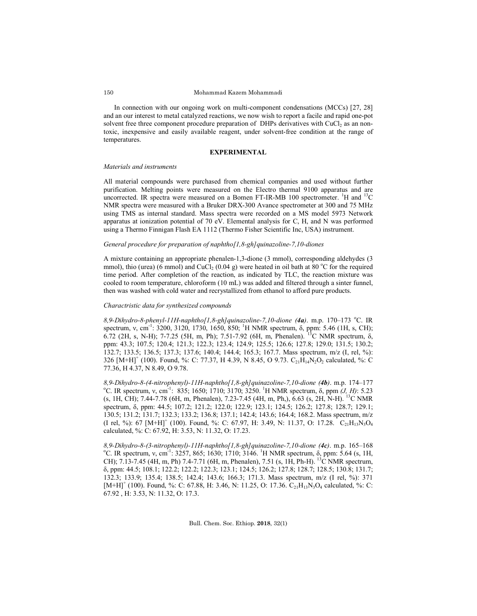In connection with our ongoing work on multi-component condensations (MCCs) [27, 28] and an our interest to metal catalyzed reactions, we now wish to report a facile and rapid one-pot solvent free three component procedure preparation of DHPs derivatives with  $CuCl<sub>2</sub>$  as an nontoxic, inexpensive and easily available reagent, under solvent-free condition at the range of temperatures.

#### **EXPERIMENTAL**

## *Materials and instruments*

All material compounds were purchased from chemical companies and used without further purification. Melting points were measured on the Electro thermal 9100 apparatus and are uncorrected. IR spectra were measured on a Bomen FT-IR-MB 100 spectrometer. <sup>1</sup>H and <sup>13</sup>C NMR spectra were measured with a Bruker DRX-300 Avance spectrometer at 300 and 75 MHz using TMS as internal standard. Mass spectra were recorded on a MS model 5973 Network apparatus at ionization potential of 70 eV. Elemental analysis for C, H, and N was performed using a Thermo Finnigan Flash EA 1112 (Thermo Fisher Scientific Inc, USA) instrument.

#### *General procedure for preparation of naphtho[1,8-gh]quinazoline-7,10-diones*

A mixture containing an appropriate phenalen-1,3-dione (3 mmol), corresponding aldehydes (3 mmol), thio (urea) (6 mmol) and CuCl<sub>2</sub> (0.04 g) were heated in oil bath at 80 °C for the required time period. After completion of the reaction, as indicated by TLC, the reaction mixture was cooled to room temperature, chloroform (10 mL) was added and filtered through a sinter funnel, then was washed with cold water and recrystallized from ethanol to afford pure products.

#### *Charactristic data for synthesized compounds*

8,9-Dihydro-8-phenyl-11H-naphtho[1,8-gh]quinazoline-7,10-dione (4a). m.p. 170–173 °C. IR spectrum, v, cm<sup>-1</sup>: 3200, 3120, 1730, 1650, 850; <sup>1</sup>H NMR spectrum, δ, ppm: 5.46 (1H, s, CH); 6.72 (2H, s, N-H); 7-7.25 (5H, m, Ph); 7.51-7.92 (6H, m, Phenalen). 13C NMR spectrum, δ, ppm: 43.3; 107.5; 120.4; 121.3; 122.3; 123.4; 124.9; 125.5; 126.6; 127.8; 129.0; 131.5; 130.2; 132.7; 133.5; 136.5; 137.3; 137.6; 140.4; 144.4; 165.3; 167.7. Mass spectrum, m/z (I, rel, %): 326  $[M+H]^+$  (100). Found, %: C: 77.37, H 4.39, N 8.45, O 9.73. C<sub>21</sub>H<sub>14</sub>N<sub>2</sub>O<sub>2</sub> calculated, %: C 77.36, H 4.37, N 8.49, O 9.78.

8,9-Dihydro-8-(4-nitrophenyl)-11H-naphtho[1,8-gh]quinazoline-7,10-dione (4b). m.p. 174–177 C. IR spectrum, ν, cm-1 : 835; 1650; 1710; 3170; 3250. <sup>1</sup> H NMR spectrum, δ, ppm *(J, H)*: 5.23 (s, 1H, CH); 7.44-7.78 (6H, m, Phenalen), 7.23-7.45 (4H, m, Ph,), 6.63 (s, 2H, N-H). 13C NMR spectrum, δ, ppm: 44.5; 107.2; 121.2; 122.0; 122.9; 123.1; 124.5; 126.2; 127.8; 128.7; 129.1; 130.5; 131.2; 131.7; 132.3; 133.2; 136.8; 137.1; 142.4; 143.6; 164.4; 168.2. Mass spectrum, m/z (I rel, %): 67  $[M+H]^+$  (100). Found, %: C: 67.97, H: 3.49, N: 11.37, O: 17.28. C<sub>21</sub>H<sub>13</sub>N<sub>3</sub>O<sub>4</sub> calculated, %: C: 67.92, H: 3.53, N: 11.32, O: 17.23.

*8,9-Dihydro-8-(3-nitrophenyl)-11H-naphtho[1,8-gh]quinazoline-7,10-dione (4c)*. m.p. 165–168 o C. IR spectrum, v, cm<sup>-1</sup>: 3257, 865; 1630; 1710; 3146. <sup>1</sup>H NMR spectrum, δ, ppm: 5.64 (s, 1H, CH); 7.13-7.45 (4H, m, Ph) 7.4-7.71 (6H, m, Phenalen), 7.51 (s, 1H, Ph-H). <sup>13</sup>C NMR spectrum, δ, ppm: 44.5; 108.1; 122.2; 122.2; 122.3; 123.1; 124.5; 126.2; 127.8; 128.7; 128.5; 130.8; 131.7; 132.3; 133.9; 135.4; 138.5; 142.4; 143.6; 166.3; 171.3. Mass spectrum, m/z (I rel, %): 371  $[M+H]^+$  (100). Found, %: C: 67.88, H: 3.46, N: 11.25, O: 17.36.  $C_{21}H_{13}N_3O_4$  calculated, %: C: 67.92 , H: 3.53, N: 11.32, O: 17.3.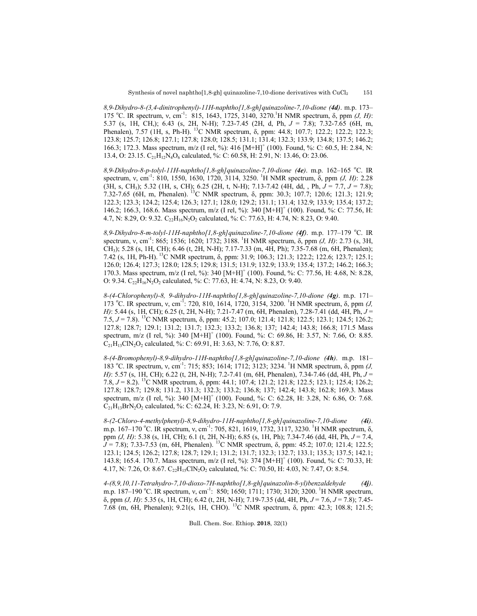*8,9-Dihydro-8-(3,4-dinitrophenyl)-11H-naphtho[1,8-gh]quinazoline-7,10-dione (4d)*. m.p. 173– 175 °C. IR spectrum, v, cm<sup>-1</sup>: 815, 1643, 1725, 3140, 3270.<sup>1</sup>H NMR spectrum, δ, ppm (*J, H*): 5.37 (s, 1H, CH,); 6.43 (s, 2H, N-H); 7.23-7.45 (2H, d, Ph, *J* = 7.8); 7.32-7.65 (6H, m, Phenalen), 7.57 (1H, s, Ph-H). <sup>13</sup>C NMR spectrum, δ, ppm: 44.8; 107.7; 122.2; 122.2; 122.3; 123.8; 125.7; 126.8; 127.1; 127.8; 128.0; 128.5; 131.1; 131.4; 132.3; 133.9; 134.8; 137.5; 146.2; 166.3; 172.3. Mass spectrum, m/z (I rel, %): 416 [M+H]<sup>+</sup> (100). Found, %: C: 60.5, H: 2.84, N: 13.4, O: 23.15.  $C_{21}H_{12}N_4O_6$  calculated, %: C: 60.58, H: 2.91, N: 13.46, O: 23.06.

8,9-Dihydro-8-p-tolyl-11H-naphtho[1,8-gh]quinazoline-7,10-dione (4e). m.p. 162–165 °C. IR spectrum, v, cm<sup>-1</sup>: 810, 1550, 1630, 1720, 3114, 3250. <sup>1</sup>H NMR spectrum, δ, ppm *(J, H)*: 2.28 (3H, s, CH3); 5.32 (1H, s, CH); 6.25 (2H, t, N-H); 7.13-7.42 (4H, dd, , Ph, *J* = 7.7, *J* = 7.8); 7.32-7.65 (6H, m, Phenalen). 13C NMR spectrum, δ, ppm: 30.3; 107.7; 120.6; 121.3; 121.9; 122.3; 123.3; 124.2; 125.4; 126.3; 127.1; 128.0; 129.2; 131.1; 131.4; 132.9; 133.9; 135.4; 137.2; 146.2; 166.3, 168.6. Mass spectrum, m/z (I rel, %): 340  $[M+H]^+$  (100). Found, %: C: 77.56, H: 4.7, N: 8.29, O: 9.32. C<sub>22</sub>H<sub>16</sub>N<sub>2</sub>O<sub>2</sub> calculated, %: C: 77.63, H: 4.74, N: 8.23, O: 9.40.

8,9-Dihydro-8-m-tolyl-11H-naphtho[1,8-gh]quinazoline-7,10-dione (4f). m.p. 177–179 °C. IR spectrum, v, cm<sup>-1</sup>: 865; 1536; 1620; 1732; 3188. <sup>1</sup>H NMR spectrum, δ, ppm *(J, H)*: 2.73 (s, 3H, CH3); 5.28 (s, 1H, CH); 6.46 (t, 2H, N-H); 7.17-7.33 (m, 4H, Ph); 7.35-7.68 (m, 6H, Phenalen); 7.42 (s, 1H, Ph-H). 13C NMR spectrum, δ, ppm: 31.9; 106.3; 121.3; 122.2; 122.6; 123.7; 125.1; 126.0; 126.4; 127.3; 128.0; 128.5; 129.8; 131.5; 131.9; 132.9; 133.9; 135.4; 137.2; 146.2; 166.3; 170.3. Mass spectrum,  $m/z$  (I rel, %): 340  $[M+H]^+$  (100). Found, %: C: 77.56, H: 4.68, N: 8.28, O:  $9.34. C_{22}H_{16}N_2O_2$  calculated, %: C: 77.63, H: 4.74, N: 8.23, O: 9.40.

*8-(4-Chlorophenyl)-8, 9-dihydro-11H-naphtho[1,8-gh]quinazoline-7,10-dione (4g)*. m.p. 171– 173 °C. IR spectrum, v, cm<sup>-1</sup>: 720, 810, 1614, 1720, 3154, 3200. <sup>1</sup>H NMR spectrum, δ, ppm (*J*, *H)*: 5.44 (s, 1H, CH); 6.25 (t, 2H, N-H); 7.21-7.47 (m, 6H, Phenalen), 7.28-7.41 (dd, 4H, Ph, *J* = 7.5, *J* = 7.8). 13C NMR spectrum, δ, ppm: 45.2; 107.0; 121.4; 121.8; 122.5; 123.1; 124.5; 126.2; 127.8; 128.7; 129.1; 131.2; 131.7; 132.3; 133.2; 136.8; 137; 142.4; 143.8; 166.8; 171.5 Mass spectrum, m/z (I rel, %): 340  $[M+H]^+$  (100). Found, %: C: 69.86, H: 3.57, N: 7.66, O: 8.85.  $C_{21}H_{13}C/N_2O_2$  calculated, %: C: 69.91, H: 3.63, N: 7.76, O: 8.87.

*8-(4-Bromophenyl)-8,9-dihydro-11H-naphtho[1,8-gh]quinazoline-7,10-dione (4h)*. m.p. 181– 183 °C. IR spectrum, v, cm<sup>-1</sup>: 715; 853; 1614; 1712; 3123; 3234. <sup>1</sup>H NMR spectrum, δ, ppm (*J*, *H)*: 5.57 (s, 1H, CH); 6.22 (t, 2H, N-H); 7.2-7.41 (m, 6H, Phenalen), 7.34-7.46 (dd, 4H, Ph, *J* = 7.8, *J* = 8.2). 13C NMR spectrum, δ, ppm: 44.1; 107.4; 121.2; 121.8; 122.5; 123.1; 125.4; 126.2; 127.8; 128.7; 129.8; 131.2, 131.3; 132.3; 133.2; 136.8; 137; 142.4; 143.8; 162.8; 169.3. Mass spectrum, m/z (I rel, %): 340  $[M+H]^+$  (100). Found, %: C: 62.28, H: 3.28, N: 6.86, O: 7.68.  $C_{21}H_{13}BrN_2O_2$  calculated, %: C: 62.24, H: 3.23, N: 6.91, O: 7.9.

*8-(2-Chloro-4-methylphenyl)-8,9-dihydro-11H-naphtho[1,8-gh]quinazoline-7,10-dione (4i)*. m.p. 167–170 °C. IR spectrum, v, cm<sup>-1</sup>: 705, 821, 1619, 1732, 3117, 3230. <sup>1</sup>H NMR spectrum, δ, ppm *(J, H)*: 5.38 (s, 1H, CH); 6.1 (t, 2H, N-H); 6.85 (s, 1H, Ph); 7.34-7.46 (dd, 4H, Ph, *J* = 7.4,  $\hat{J}$  = 7.8); 7.33-7.53 (m, 6H, Phenalen). <sup>13</sup>C NMR spectrum,  $\delta$ , ppm: 45.2; 107.0; 121.4; 122.5; 123.1; 124.5; 126.2; 127.8; 128.7; 129.1; 131.2; 131.7; 132.3; 132.7; 133.1; 135.3; 137.5; 142.1; 143.8; 165.4. 170.7. Mass spectrum, m/z (I rel, %): 374  $[M+H]^+$  (100). Found, %: C: 70.33, H: 4.17, N: 7.26, O: 8.67.  $C_{22}H_{15}CIN_2O_2$  calculated, %: C: 70.50, H: 4.03, N: 7.47, O: 8.54.

*4-(8,9,10,11-Tetrahydro-7,10-dioxo-7H-naphtho[1,8-gh]quinazolin-8-yl)benzaldehyde (4j)*. m.p. 187–190 °C. IR spectrum, v, cm<sup>-1</sup>: 850; 1650; 1711; 1730; 3120; 3200. <sup>1</sup>H NMR spectrum, δ, ppm *(J, H)*: 5.35 (s, 1H, CH); 6.42 (t, 2H, N-H); 7.19-7.35 (dd, 4H, Ph, *J* = 7.6, *J* = 7.8); 7.45- 7.68 (m, 6H, Phenalen); 9.21(s, 1H, CHO). 13C NMR spectrum, δ, ppm: 42.3; 108.8; 121.5;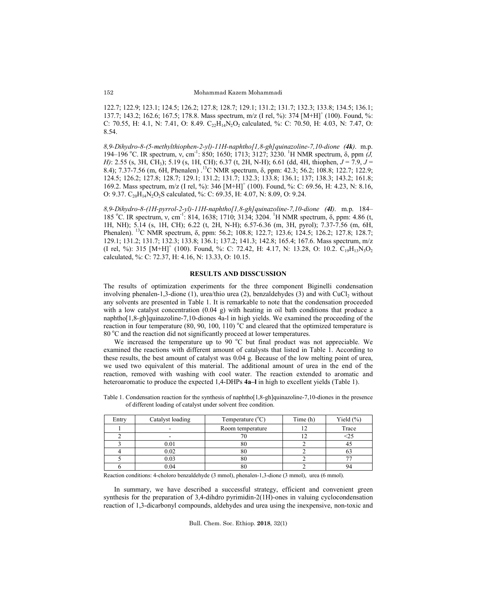122.7; 122.9; 123.1; 124.5; 126.2; 127.8; 128.7; 129.1; 131.2; 131.7; 132.3; 133.8; 134.5; 136.1; 137.7; 143.2; 162.6; 167.5; 178.8. Mass spectrum, m/z (I rel, %): 374  $[M+H]^+(100)$ . Found, %: C: 70.55, H: 4.1, N: 7.41, O: 8.49.  $C_{22}H_{14}N_2O_2$  calculated, %: C: 70.50, H: 4.03, N: 7.47, O: 8.54.

*8,9-Dihydro-8-(5-methylthiophen-2-yl)-11H-naphtho[1,8-gh]quinazoline-7,10-dione (4k)*. m.p. 194–196 °C. IR spectrum, v, cm<sup>-1</sup>: 850; 1650; 1713; 3127; 3230. <sup>1</sup>H NMR spectrum, δ, ppm (*J*, *H)*: 2.55 (s, 3H, CH3); 5.19 (s, 1H, CH); 6.37 (t, 2H, N-H); 6.61 (dd, 4H, thiophen, *J* = 7.9, *J* = 8.4); 7.37-7.56 (m, 6H, Phenalen) .13C NMR spectrum, δ, ppm: 42.3; 56.2; 108.8; 122.7; 122.9; 124.5; 126.2; 127.8; 128.7; 129.1; 131.2; 131.7; 132.3; 133.8; 136.1; 137; 138.3; 143.2; 161.8; 169.2. Mass spectrum, m/z (I rel, %): 346 [M+H]<sup>+</sup> (100). Found, %: C: 69.56, H: 4.23, N: 8.16, O: 9.37.  $C_{20}H_{14}N_2O_2S$  calculated, %: C: 69.35, H: 4.07, N: 8.09, O: 9.24.

*8,9-Dihydro-8-(1H-pyrrol-2-yl)-11H-naphtho[1,8-gh]quinazoline-7,10-dione (4l)*. m.p. 184– 185 °C. IR spectrum, v, cm<sup>-1</sup>: 814, 1638; 1710; 3134; 3204. <sup>1</sup>H NMR spectrum, δ, ppm: 4.86 (t, 1H, NH); 5.14 (s, 1H, CH); 6.22 (t, 2H, N-H); 6.57-6.36 (m, 3H, pyrol); 7.37-7.56 (m, 6H, Phenalen). <sup>13</sup>C NMR spectrum, δ, ppm: 56.2; 108.8; 122.7; 123.6; 124.5; 126.2; 127.8; 128.7; 129.1; 131.2; 131.7; 132.3; 133.8; 136.1; 137.2; 141.3; 142.8; 165.4; 167.6. Mass spectrum, m/z (I rel, %): 315  $[M+H]^+$  (100). Found, %: C: 72.42, H: 4.17, N: 13.28, O: 10.2.  $C_{19}H_{13}N_3O_2$ calculated, %: C: 72.37, H: 4.16, N: 13.33, O: 10.15.

## **RESULTS AND DISSCUSSION**

The results of optimization experiments for the three component Biginelli condensation involving phenalen-1,3-dione  $(1)$ , urea/thio urea  $(2)$ , benzaldehydes  $(3)$  and with CuCl<sub>2</sub> without any solvents are presented in Table 1. It is remarkable to note that the condensation proceeded with a low catalyst concentration  $(0.04 \text{ g})$  with heating in oil bath conditions that produce a naphtho[1,8-gh]quinazoline-7,10-diones 4a-l in high yields. We examined the proceeding of the reaction in four temperature  $(80, 90, 100, 110) °C$  and cleared that the optimized temperature is 80 °C and the reaction did not significantly proceed at lower temperatures.

We increased the temperature up to  $90 °C$  but final product was not appreciable. We examined the reactions with different amount of catalysts that listed in Table 1. According to these results, the best amount of catalyst was 0.04 g. Because of the low melting point of urea, we used two equivalent of this material. The additional amount of urea in the end of the reaction, removed with washing with cool water. The reaction extended to aromatic and heteroaromatic to produce the expected 1,4-DHPs **4a–l** in high to excellent yields (Table 1).

| Entry | Catalyst loading | Temperature $(^{\circ}C)$ | Time (h) | Yield $(\% )$ |
|-------|------------------|---------------------------|----------|---------------|
|       | -                | Room temperature          |          | Trace         |
|       |                  |                           |          | :25           |
|       | 0.01             | 80                        |          |               |
|       | 0.02             | 80                        |          |               |
|       | 0.03             | 80                        |          |               |
|       | 0.04             | oυ                        |          |               |

Table 1. Condensation reaction for the synthesis of naphtho[1,8-gh]quinazoline-7,10-diones in the presence of different loading of catalyst under solvent free condition.

Reaction conditions: 4-choloro benzaldehyde (3 mmol), phenalen-1,3-dione (3 mmol), urea (6 mmol).

In summary, we have described a successful strategy, efficient and convenient green synthesis for the preparation of 3,4-dihdro pyrimidin-2(1H)-ones in valuing cyclocondensation reaction of 1,3-dicarbonyl compounds, aldehydes and urea using the inexpensive, non-toxic and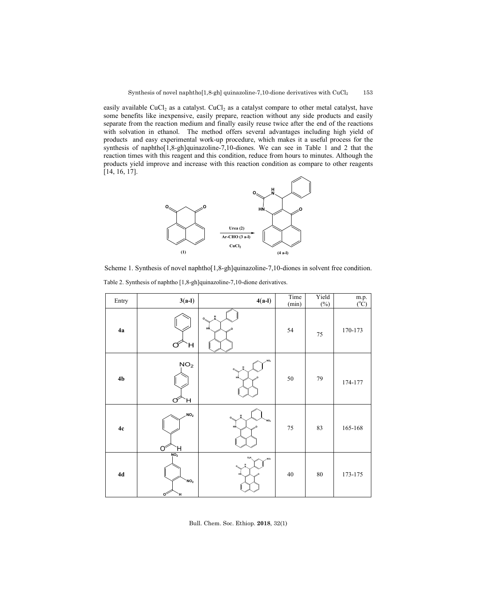easily available CuCl<sub>2</sub> as a catalyst. CuCl<sub>2</sub> as a catalyst compare to other metal catalyst, have some benefits like inexpensive, easily prepare, reaction without any side products and easily separate from the reaction medium and finally easily reuse twice after the end of the reactions with solvation in ethanol. The method offers several advantages including high yield of products and easy experimental work-up procedure, which makes it a useful process for the synthesis of naphtho[1,8-gh]quinazoline-7,10-diones. We can see in Table 1 and 2 that the reaction times with this reagent and this condition, reduce from hours to minutes. Although the products yield improve and increase with this reaction condition as compare to other reagents [14, 16, 17].



Scheme 1. Synthesis of novel naphtho[1,8-gh]quinazoline-7,10-diones in solvent free condition.

Table 2. Synthesis of naphtho [1,8-gh]quinazoline-7,10-dione derivatives.

| Entry          | $3(a-l)$                                     | $4(a-1)$                                  | Time<br>(min) | Yield<br>$(\%)$ | $m.p.$<br>$(^{0}C)$ |
|----------------|----------------------------------------------|-------------------------------------------|---------------|-----------------|---------------------|
| 4a             | Ή<br>O                                       | н<br>$O_{\rm N}$<br>HŃ.                   | 54            | $75\,$          | 170-173             |
| 4 <sub>b</sub> | NO <sub>2</sub><br>Η<br>О                    | NO <sub>2</sub><br>нŃ                     | 50            | 79              | 174-177             |
| $4c$           | NO <sub>2</sub><br>$O^2$<br>Ή                | $\Omega$<br>NO <sub>2</sub><br>HŃ.        | $75\,$        | 83              | 165-168             |
| $4\mathrm{d}$  | NO <sub>2</sub><br>NO <sub>2</sub><br>o<br>Ή | O <sub>2</sub> N<br>NO <sub>2</sub><br>нŃ | $40\,$        | $80\,$          | 173-175             |

Bull. Chem. Soc. Ethiop. **2018**, 32(1)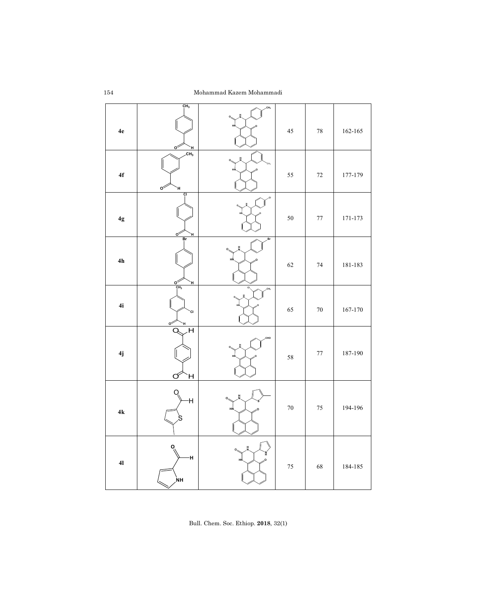| $4\mathrm{e}$  | CH <sub>3</sub><br>$\sigma$<br>н                 | .CH <sub>3</sub>   | 45     | $78\,$ | $162 - 165$ |
|----------------|--------------------------------------------------|--------------------|--------|--------|-------------|
| ${\bf 4f}$     | CH <sub>3</sub><br>$\circ^{\!\!\heartsuit}$<br>Ή | H<br>o.<br>٠o      | 55     | $72\,$ | 177-179     |
| $4\mathrm{g}$  | ÇI<br>οŕ<br>н                                    |                    | 50     | $77\,$ | 171-173     |
| $4h$           | Ŗr<br>$\frac{6}{\frac{CH_3}{}}$<br>H,            | Br<br>H<br>Hľ      | 62     | 74     | 181-183     |
| 4i             | `CI<br>$\circ^{\!\!\heartsuit}$<br>ч             | cı<br>CH3          | 65     | $70\,$ | 167-170     |
| 4j             | H<br>Q<br>Η<br>O                                 | CHO                | 58     | $77\,$ | 187-190     |
| $4{\bf k}$     | Ή                                                | H.<br>O<br>HN      | $70\,$ | 75     | 194-196     |
| 4 <sub>l</sub> | H<br>ŃН                                          | 볎<br>'N<br>H<br>HŅ | $75\,$ | 68     | 184-185     |

Bull. Chem. Soc. Ethiop. **2018**, 32(1)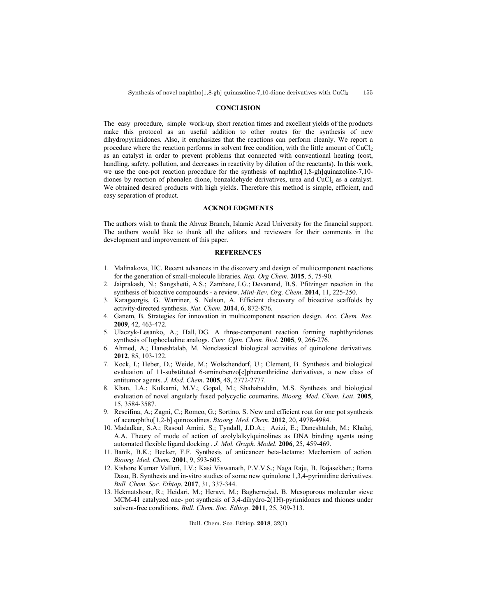#### **CONCLISION**

The easy procedure, simple work-up, short reaction times and excellent yields of the products make this protocol as an useful addition to other routes for the synthesis of new dihydropyrimidones. Also, it emphasizes that the reactions can perform cleanly. We report a procedure where the reaction performs in solvent free condition, with the little amount of  $CuCl<sub>2</sub>$ as an catalyst in order to prevent problems that connected with conventional heating (cost, handling, safety, pollution, and decreases in reactivity by dilution of the reactants). In this work, we use the one-pot reaction procedure for the synthesis of naphtho[1,8-gh]quinazoline-7,10 diones by reaction of phenalen dione, benzaldehyde derivatives, urea and CuCl<sub>2</sub> as a catalyst. We obtained desired products with high yields. Therefore this method is simple, efficient, and easy separation of product.

#### **ACKNOLEDGMENTS**

The authors wish to thank the Ahvaz Branch, Islamic Azad University for the financial support. The authors would like to thank all the editors and reviewers for their comments in the development and improvement of this paper.

## **REFERENCES**

- 1. Malinakova, HC. Recent advances in the discovery and design of multicomponent reactions for the generation of small-molecule libraries. *Rep. Org Chem*. **2015**, 5, 75-90.
- 2. Jaiprakash, N.; Sangshetti, A.S.; Zambare, I.G.; Devanand, B.S. Pfitzinger reaction in the synthesis of bioactive compounds - a review. *Mini-Rev. Org. Chem*. **2014**, 11, 225-250.
- 3. Karageorgis, G. Warriner, S. Nelson, A. Efficient discovery of bioactive scaffolds by activity-directed synthesis. *Nat. Chem*. **2014**, 6, 872-876.
- 4. Ganem, B. Strategies for innovation in multicomponent reaction design. *Acc. Chem. Res*. **2009**, 42, 463-472.
- 5. Ulaczyk-Lesanko, A.; Hall, DG. A three-component reaction forming naphthyridones synthesis of lophocladine analogs. *Curr. Opin. Chem. Biol*. **2005**, 9, 266-276.
- 6. Ahmed, A.; Daneshtalab, M. Nonclassical biological activities of quinolone derivatives. **2012**, 85, 103-122.
- 7. Kock, I.; Heber, D.; Weide, M.; Wolschendorf, U.; Clement, B. Synthesis and biological evaluation of 11-substituted 6-aminobenzo[c]phenanthridine derivatives, a new class of antitumor agents. *J. Med. Chem*. **2005**, 48, 2772-2777.
- 8. Khan, I.A.; Kulkarni, M.V.; Gopal, M.; Shahabuddin, M.S. Synthesis and biological evaluation of novel angularly fused polycyclic coumarins. *Bioorg. Med. Chem. Lett*. **2005**, 15, 3584-3587.
- 9. Rescifina, A.; Zagni, C.; Romeo, G.; Sortino, S. New and efficient rout for one pot synthesis of acenaphtho[1,2-b] quinoxalines. *Bioorg. Med. Chem*. **2012**, 20, 4978-4984.
- 10. Madadkar, S.A.; Rasoul Amini, S.; Tyndall, J.D.A.; Azizi, E.; Daneshtalab, M.; Khalaj, A.A. Theory of mode of action of azolylalkylquinolines as DNA binding agents using automated flexible ligand docking . *J. Mol. Graph. Model.* **2006**, 25, 459-469.
- 11. Banik, B.K.; Becker, F.F. Synthesis of anticancer beta-lactams: Mechanism of action. *Bioorg. Med. Chem*. **2001**, 9, 593-605.
- 12. Kishore Kumar Valluri, I.V.; Kasi Viswanath, P.V.V.S.; Naga Raju, B. Rajasekher.; Rama Dasu, B. Synthesis and in-vitro studies of some new quinolone 1,3,4-pyrimidine derivatives. *Bull. Chem. Soc. Ethiop*. **2017**, 31, 337-344.
- 13. Hekmatshoar, R.; Heidari, M.; Heravi, M.; Baghernejad**.** B. Mesoporous molecular sieve MCM-41 catalyzed one- pot synthesis of 3,4-dihydro-2(1H)-pyrimidones and thiones under solvent-free conditions. *Bull. Chem. Soc. Ethiop*. **2011**, 25, 309-313.